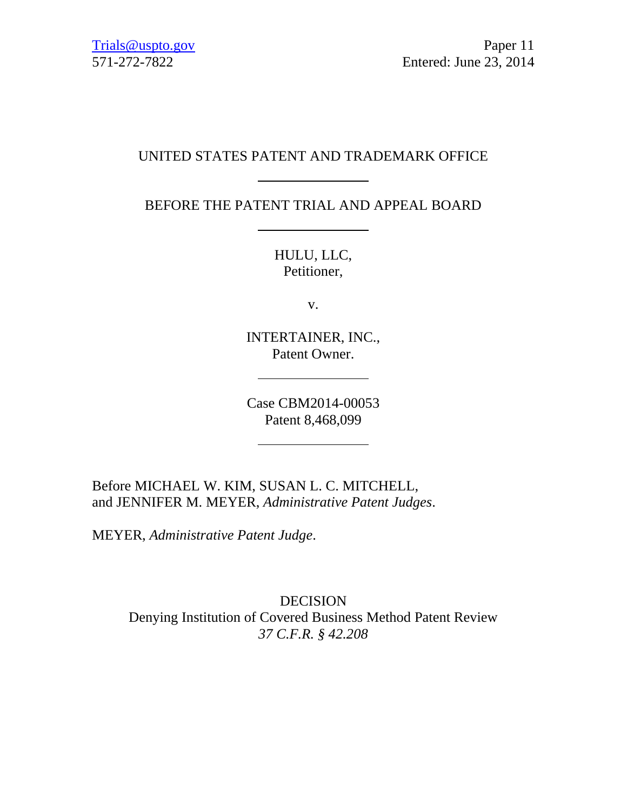# UNITED STATES PATENT AND TRADEMARK OFFICE

BEFORE THE PATENT TRIAL AND APPEAL BOARD

HULU, LLC, Petitioner,

v.

INTERTAINER, INC., Patent Owner.

Case CBM2014-00053 Patent 8,468,099

Before MICHAEL W. KIM, SUSAN L. C. MITCHELL, and JENNIFER M. MEYER, *Administrative Patent Judges*.

MEYER, *Administrative Patent Judge*.

DECISION Denying Institution of Covered Business Method Patent Review *37 C.F.R. § 42.208*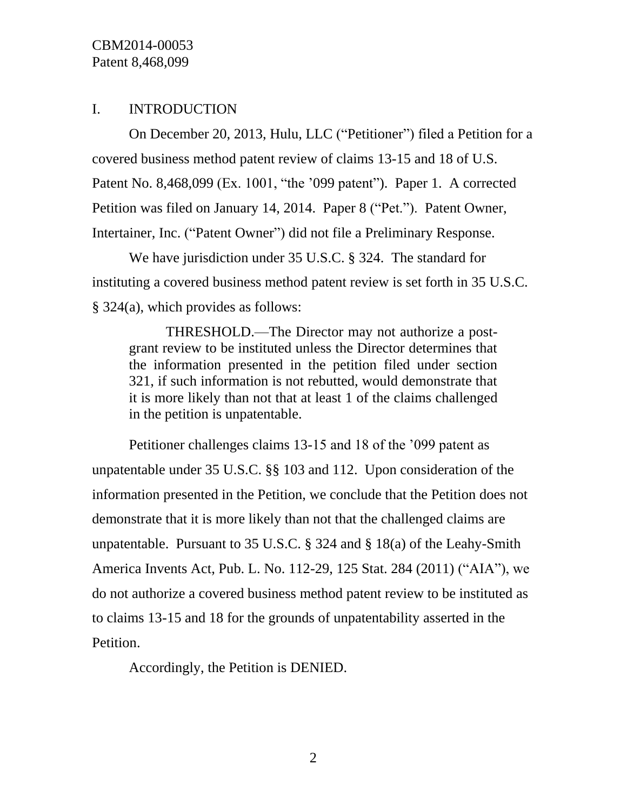## I. INTRODUCTION

On December 20, 2013, Hulu, LLC ("Petitioner") filed a Petition for a covered business method patent review of claims 13-15 and 18 of U.S. Patent No. 8,468,099 (Ex. 1001, "the '099 patent"). Paper 1. A corrected Petition was filed on January 14, 2014. Paper 8 ("Pet."). Patent Owner, Intertainer, Inc. ("Patent Owner") did not file a Preliminary Response.

We have jurisdiction under 35 U.S.C. § 324. The standard for instituting a covered business method patent review is set forth in 35 U.S.C. § 324(a), which provides as follows:

THRESHOLD.—The Director may not authorize a postgrant review to be instituted unless the Director determines that the information presented in the petition filed under section 321, if such information is not rebutted, would demonstrate that it is more likely than not that at least 1 of the claims challenged in the petition is unpatentable.

Petitioner challenges claims 13-15 and 18 of the '099 patent as unpatentable under 35 U.S.C. §§ 103 and 112. Upon consideration of the information presented in the Petition, we conclude that the Petition does not demonstrate that it is more likely than not that the challenged claims are unpatentable. Pursuant to 35 U.S.C. § 324 and § 18(a) of the Leahy-Smith America Invents Act, Pub. L. No. 112-29, 125 Stat. 284 (2011) ("AIA"), we do not authorize a covered business method patent review to be instituted as to claims 13-15 and 18 for the grounds of unpatentability asserted in the Petition.

Accordingly, the Petition is DENIED.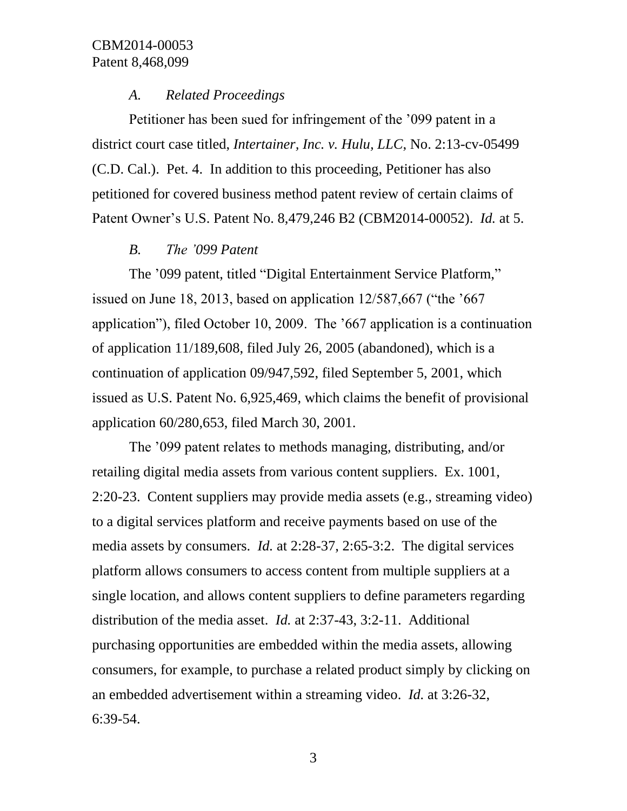#### *A. Related Proceedings*

Petitioner has been sued for infringement of the '099 patent in a district court case titled, *Intertainer, Inc. v. Hulu, LLC*, No. 2:13-cv-05499 (C.D. Cal.). Pet. 4. In addition to this proceeding, Petitioner has also petitioned for covered business method patent review of certain claims of Patent Owner's U.S. Patent No. 8,479,246 B2 (CBM2014-00052). *Id.* at 5.

## *B. The '099 Patent*

The '099 patent, titled "Digital Entertainment Service Platform," issued on June 18, 2013, based on application 12/587,667 ("the '667 application"), filed October 10, 2009. The '667 application is a continuation of application 11/189,608, filed July 26, 2005 (abandoned), which is a continuation of application 09/947,592, filed September 5, 2001, which issued as U.S. Patent No. 6,925,469, which claims the benefit of provisional application 60/280,653, filed March 30, 2001.

The '099 patent relates to methods managing, distributing, and/or retailing digital media assets from various content suppliers. Ex. 1001, 2:20-23. Content suppliers may provide media assets (e.g., streaming video) to a digital services platform and receive payments based on use of the media assets by consumers. *Id.* at 2:28-37, 2:65-3:2. The digital services platform allows consumers to access content from multiple suppliers at a single location, and allows content suppliers to define parameters regarding distribution of the media asset. *Id.* at 2:37-43, 3:2-11. Additional purchasing opportunities are embedded within the media assets, allowing consumers, for example, to purchase a related product simply by clicking on an embedded advertisement within a streaming video. *Id.* at 3:26-32, 6:39-54.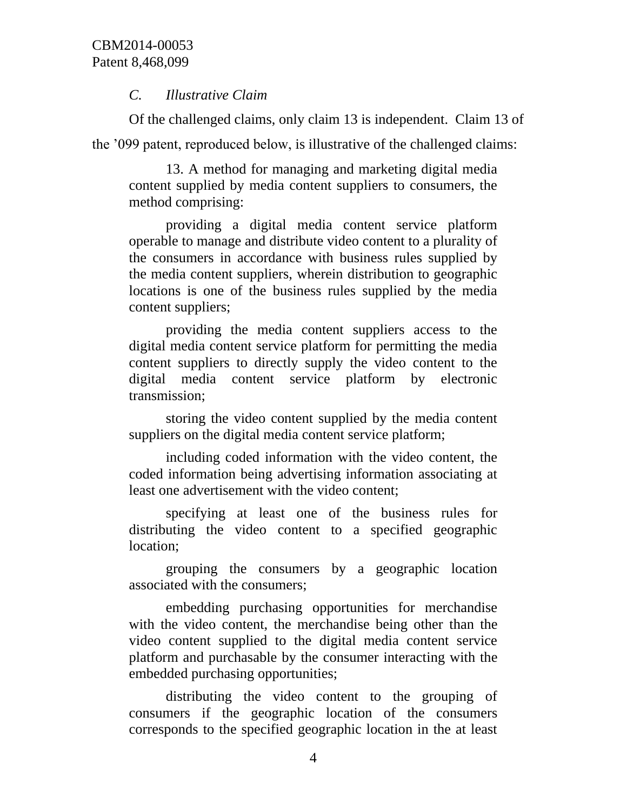## *C. Illustrative Claim*

Of the challenged claims, only claim 13 is independent. Claim 13 of the '099 patent, reproduced below, is illustrative of the challenged claims:

13. A method for managing and marketing digital media content supplied by media content suppliers to consumers, the method comprising:

providing a digital media content service platform operable to manage and distribute video content to a plurality of the consumers in accordance with business rules supplied by the media content suppliers, wherein distribution to geographic locations is one of the business rules supplied by the media content suppliers;

providing the media content suppliers access to the digital media content service platform for permitting the media content suppliers to directly supply the video content to the digital media content service platform by electronic transmission;

storing the video content supplied by the media content suppliers on the digital media content service platform;

including coded information with the video content, the coded information being advertising information associating at least one advertisement with the video content;

specifying at least one of the business rules for distributing the video content to a specified geographic location;

grouping the consumers by a geographic location associated with the consumers;

embedding purchasing opportunities for merchandise with the video content, the merchandise being other than the video content supplied to the digital media content service platform and purchasable by the consumer interacting with the embedded purchasing opportunities;

distributing the video content to the grouping of consumers if the geographic location of the consumers corresponds to the specified geographic location in the at least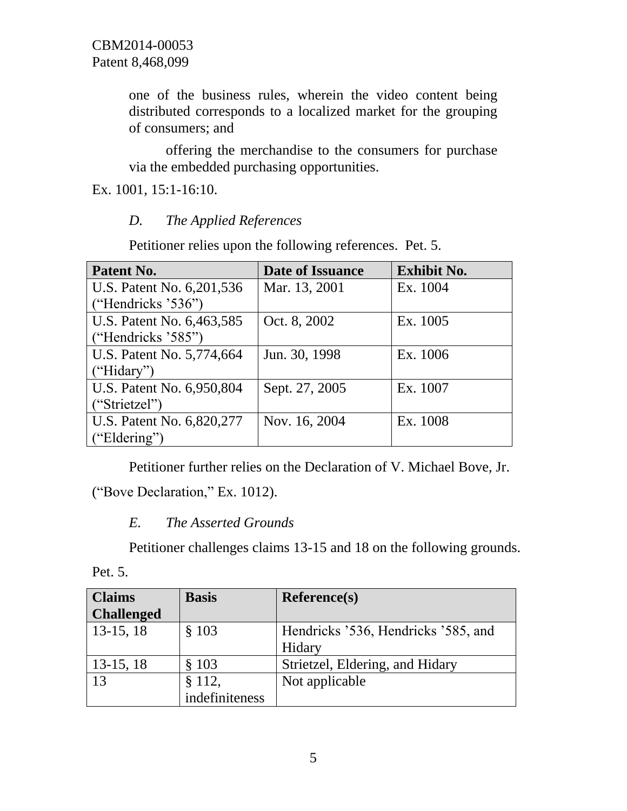one of the business rules, wherein the video content being distributed corresponds to a localized market for the grouping of consumers; and

offering the merchandise to the consumers for purchase via the embedded purchasing opportunities.

Ex. 1001, 15:1-16:10.

## *D. The Applied References*

Petitioner relies upon the following references. Pet. 5.

| Patent No.                | <b>Date of Issuance</b> | <b>Exhibit No.</b> |
|---------------------------|-------------------------|--------------------|
| U.S. Patent No. 6,201,536 | Mar. 13, 2001           | Ex. 1004           |
| ("Hendricks $36$ ")       |                         |                    |
| U.S. Patent No. 6,463,585 | Oct. 8, 2002            | Ex. 1005           |
| ("Hendricks '585")        |                         |                    |
| U.S. Patent No. 5,774,664 | Jun. 30, 1998           | Ex. 1006           |
| ("Hidary")                |                         |                    |
| U.S. Patent No. 6,950,804 | Sept. 27, 2005          | Ex. 1007           |
| ("Strietzel")             |                         |                    |
| U.S. Patent No. 6,820,277 | Nov. 16, 2004           | Ex. 1008           |
| "Eldering")               |                         |                    |

Petitioner further relies on the Declaration of V. Michael Bove, Jr.

("Bove Declaration," Ex. 1012).

# *E. The Asserted Grounds*

Petitioner challenges claims 13-15 and 18 on the following grounds.

| г |  |
|---|--|
|   |  |

| <b>Claims</b>     | <b>Basis</b>   | <b>Reference(s)</b>                 |
|-------------------|----------------|-------------------------------------|
| <b>Challenged</b> |                |                                     |
| $13-15, 18$       | \$103          | Hendricks '536, Hendricks '585, and |
|                   |                | Hidary                              |
| $13-15, 18$       | \$103          | Strietzel, Eldering, and Hidary     |
| 13                | § 112,         | Not applicable                      |
|                   | indefiniteness |                                     |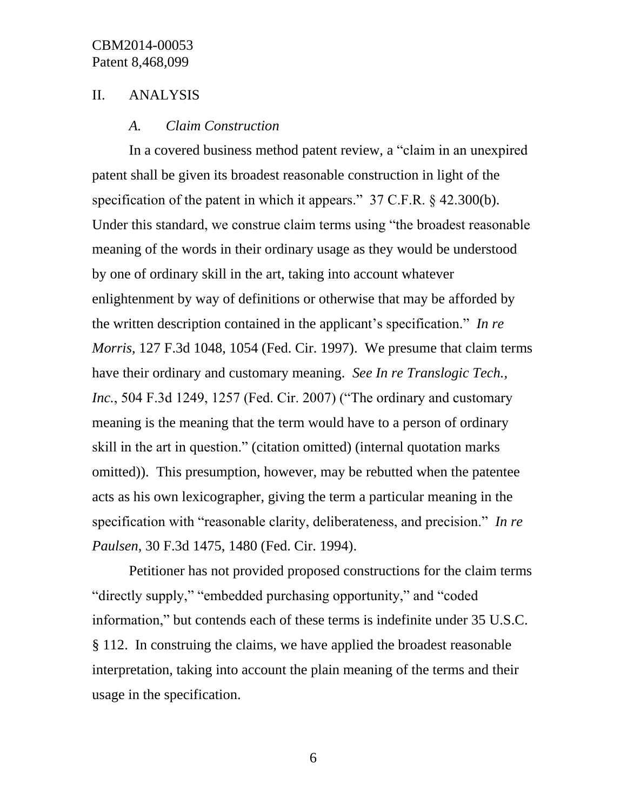### II. ANALYSIS

#### *A. Claim Construction*

In a covered business method patent review, a "claim in an unexpired patent shall be given its broadest reasonable construction in light of the specification of the patent in which it appears." 37 C.F.R. § 42.300(b). Under this standard, we construe claim terms using "the broadest reasonable meaning of the words in their ordinary usage as they would be understood by one of ordinary skill in the art, taking into account whatever enlightenment by way of definitions or otherwise that may be afforded by the written description contained in the applicant's specification." *In re Morris*, 127 F.3d 1048, 1054 (Fed. Cir. 1997). We presume that claim terms have their ordinary and customary meaning. *See In re Translogic Tech., Inc.*, 504 F.3d 1249, 1257 (Fed. Cir. 2007) ("The ordinary and customary meaning is the meaning that the term would have to a person of ordinary skill in the art in question." (citation omitted) (internal quotation marks omitted)). This presumption, however, may be rebutted when the patentee acts as his own lexicographer, giving the term a particular meaning in the specification with "reasonable clarity, deliberateness, and precision." *In re Paulsen*, 30 F.3d 1475, 1480 (Fed. Cir. 1994).

Petitioner has not provided proposed constructions for the claim terms "directly supply," "embedded purchasing opportunity," and "coded information," but contends each of these terms is indefinite under 35 U.S.C. § 112. In construing the claims, we have applied the broadest reasonable interpretation, taking into account the plain meaning of the terms and their usage in the specification.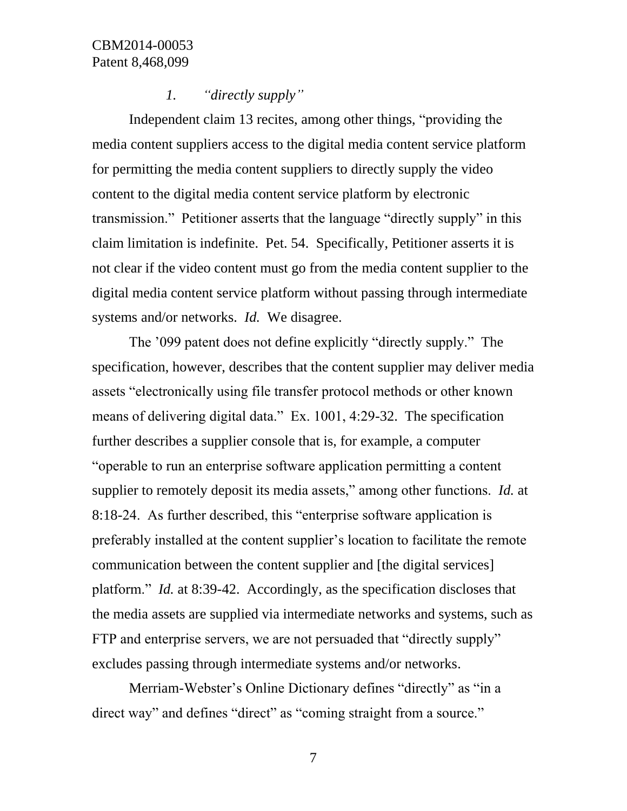#### *1. "directly supply"*

Independent claim 13 recites, among other things, "providing the media content suppliers access to the digital media content service platform for permitting the media content suppliers to directly supply the video content to the digital media content service platform by electronic transmission." Petitioner asserts that the language "directly supply" in this claim limitation is indefinite. Pet. 54. Specifically, Petitioner asserts it is not clear if the video content must go from the media content supplier to the digital media content service platform without passing through intermediate systems and/or networks. *Id.* We disagree.

The '099 patent does not define explicitly "directly supply." The specification, however, describes that the content supplier may deliver media assets "electronically using file transfer protocol methods or other known means of delivering digital data." Ex. 1001, 4:29-32. The specification further describes a supplier console that is, for example, a computer "operable to run an enterprise software application permitting a content supplier to remotely deposit its media assets," among other functions. *Id.* at 8:18-24. As further described, this "enterprise software application is preferably installed at the content supplier's location to facilitate the remote communication between the content supplier and [the digital services] platform." *Id.* at 8:39-42. Accordingly, as the specification discloses that the media assets are supplied via intermediate networks and systems, such as FTP and enterprise servers, we are not persuaded that "directly supply" excludes passing through intermediate systems and/or networks.

Merriam-Webster's Online Dictionary defines "directly" as "in a direct way" and defines "direct" as "coming straight from a source."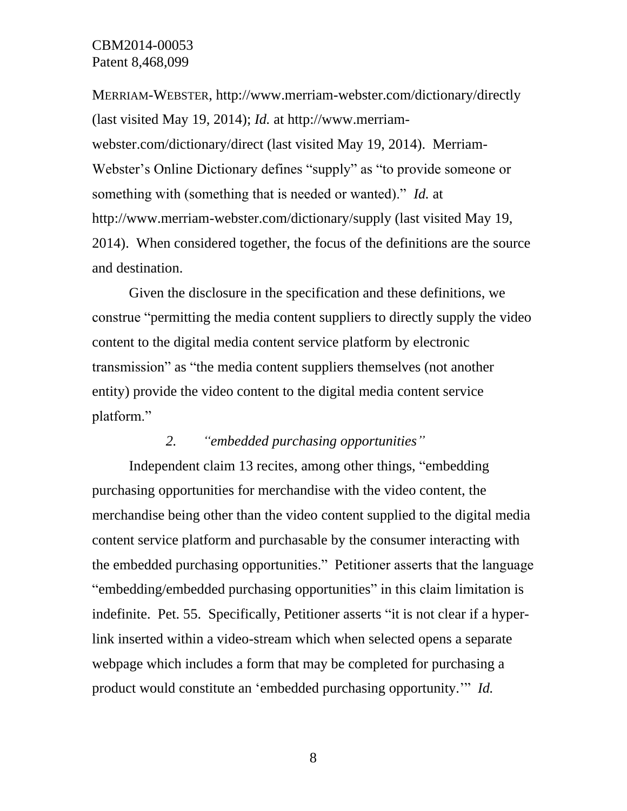MERRIAM-WEBSTER, http://www.merriam-webster.com/dictionary/directly (last visited May 19, 2014); *Id.* at http://www.merriamwebster.com/dictionary/direct (last visited May 19, 2014). Merriam-Webster's Online Dictionary defines "supply" as "to provide someone or something with (something that is needed or wanted)." *Id.* at http://www.merriam-webster.com/dictionary/supply (last visited May 19, 2014). When considered together, the focus of the definitions are the source and destination.

Given the disclosure in the specification and these definitions, we construe "permitting the media content suppliers to directly supply the video content to the digital media content service platform by electronic transmission" as "the media content suppliers themselves (not another entity) provide the video content to the digital media content service platform."

## *2. "embedded purchasing opportunities"*

Independent claim 13 recites, among other things, "embedding purchasing opportunities for merchandise with the video content, the merchandise being other than the video content supplied to the digital media content service platform and purchasable by the consumer interacting with the embedded purchasing opportunities." Petitioner asserts that the language "embedding/embedded purchasing opportunities" in this claim limitation is indefinite. Pet. 55. Specifically, Petitioner asserts "it is not clear if a hyperlink inserted within a video-stream which when selected opens a separate webpage which includes a form that may be completed for purchasing a product would constitute an 'embedded purchasing opportunity.'" *Id.*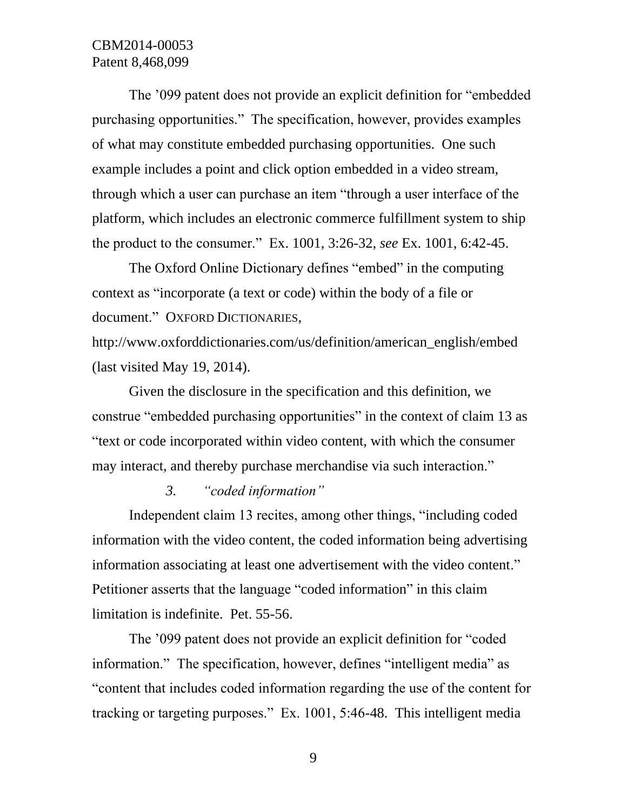The '099 patent does not provide an explicit definition for "embedded purchasing opportunities." The specification, however, provides examples of what may constitute embedded purchasing opportunities. One such example includes a point and click option embedded in a video stream, through which a user can purchase an item "through a user interface of the platform, which includes an electronic commerce fulfillment system to ship the product to the consumer." Ex. 1001, 3:26-32, *see* Ex. 1001, 6:42-45.

The Oxford Online Dictionary defines "embed" in the computing context as "incorporate (a text or code) within the body of a file or document." OXFORD DICTIONARIES,

http://www.oxforddictionaries.com/us/definition/american\_english/embed (last visited May 19, 2014).

Given the disclosure in the specification and this definition, we construe "embedded purchasing opportunities" in the context of claim 13 as "text or code incorporated within video content, with which the consumer may interact, and thereby purchase merchandise via such interaction."

### *3. "coded information"*

Independent claim 13 recites, among other things, "including coded information with the video content, the coded information being advertising information associating at least one advertisement with the video content." Petitioner asserts that the language "coded information" in this claim limitation is indefinite. Pet. 55-56.

The '099 patent does not provide an explicit definition for "coded information." The specification, however, defines "intelligent media" as "content that includes coded information regarding the use of the content for tracking or targeting purposes." Ex. 1001, 5:46-48. This intelligent media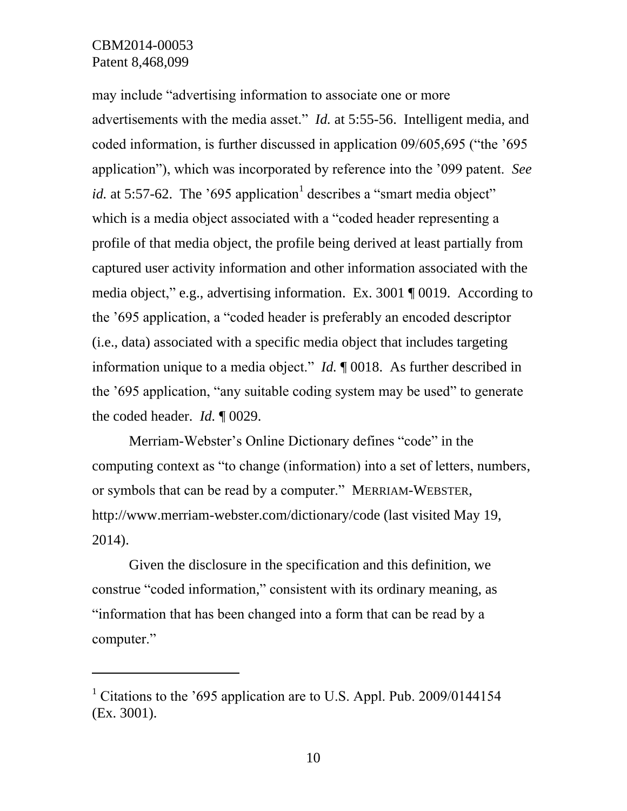$\overline{a}$ 

may include "advertising information to associate one or more advertisements with the media asset." *Id.* at 5:55-56. Intelligent media, and coded information, is further discussed in application 09/605,695 ("the '695 application"), which was incorporated by reference into the '099 patent. *See id.* at 5:57-62. The '695 application<sup>1</sup> describes a "smart media object" which is a media object associated with a "coded header representing a profile of that media object, the profile being derived at least partially from captured user activity information and other information associated with the media object," e.g., advertising information. Ex. 3001 ¶ 0019. According to the '695 application, a "coded header is preferably an encoded descriptor (i.e., data) associated with a specific media object that includes targeting information unique to a media object." *Id.* ¶ 0018. As further described in the '695 application, "any suitable coding system may be used" to generate the coded header. *Id.* ¶ 0029.

Merriam-Webster's Online Dictionary defines "code" in the computing context as "to change (information) into a set of letters, numbers, or symbols that can be read by a computer." MERRIAM-WEBSTER, http://www.merriam-webster.com/dictionary/code (last visited May 19, 2014).

Given the disclosure in the specification and this definition, we construe "coded information," consistent with its ordinary meaning, as "information that has been changed into a form that can be read by a computer."

<sup>&</sup>lt;sup>1</sup> Citations to the '695 application are to U.S. Appl. Pub. 2009/0144154 (Ex. 3001).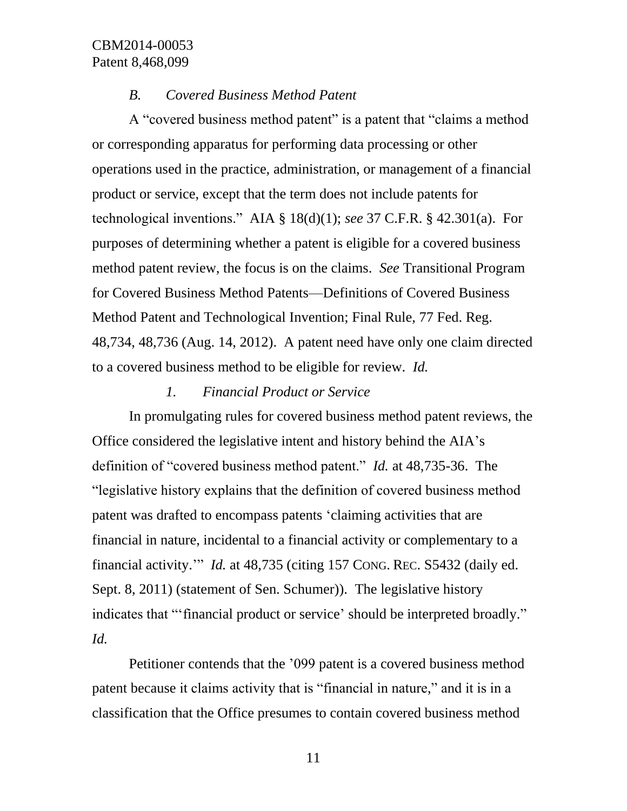### *B. Covered Business Method Patent*

A "covered business method patent" is a patent that "claims a method or corresponding apparatus for performing data processing or other operations used in the practice, administration, or management of a financial product or service, except that the term does not include patents for technological inventions." AIA § 18(d)(1); *see* 37 C.F.R. § 42.301(a). For purposes of determining whether a patent is eligible for a covered business method patent review, the focus is on the claims. *See* Transitional Program for Covered Business Method Patents—Definitions of Covered Business Method Patent and Technological Invention; Final Rule, 77 Fed. Reg. 48,734, 48,736 (Aug. 14, 2012). A patent need have only one claim directed to a covered business method to be eligible for review. *Id.*

### *1. Financial Product or Service*

In promulgating rules for covered business method patent reviews, the Office considered the legislative intent and history behind the AIA's definition of "covered business method patent." *Id.* at 48,735-36. The "legislative history explains that the definition of covered business method patent was drafted to encompass patents 'claiming activities that are financial in nature, incidental to a financial activity or complementary to a financial activity.'" *Id.* at 48,735 (citing 157 CONG. REC. S5432 (daily ed. Sept. 8, 2011) (statement of Sen. Schumer)). The legislative history indicates that "'financial product or service' should be interpreted broadly." *Id.*

Petitioner contends that the '099 patent is a covered business method patent because it claims activity that is "financial in nature," and it is in a classification that the Office presumes to contain covered business method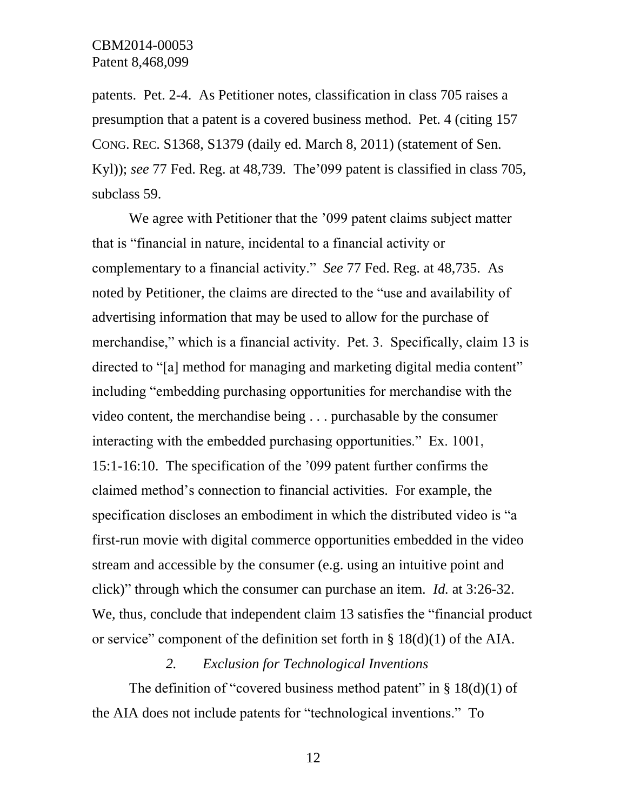patents. Pet. 2-4. As Petitioner notes, classification in class 705 raises a presumption that a patent is a covered business method. Pet. 4 (citing 157 CONG. REC. S1368, S1379 (daily ed. March 8, 2011) (statement of Sen. Kyl)); *see* 77 Fed. Reg. at 48,739*.* The'099 patent is classified in class 705, subclass 59.

We agree with Petitioner that the '099 patent claims subject matter that is "financial in nature, incidental to a financial activity or complementary to a financial activity." *See* 77 Fed. Reg. at 48,735. As noted by Petitioner, the claims are directed to the "use and availability of advertising information that may be used to allow for the purchase of merchandise," which is a financial activity. Pet. 3. Specifically, claim 13 is directed to "[a] method for managing and marketing digital media content" including "embedding purchasing opportunities for merchandise with the video content, the merchandise being . . . purchasable by the consumer interacting with the embedded purchasing opportunities." Ex. 1001, 15:1-16:10. The specification of the '099 patent further confirms the claimed method's connection to financial activities. For example, the specification discloses an embodiment in which the distributed video is "a first-run movie with digital commerce opportunities embedded in the video stream and accessible by the consumer (e.g. using an intuitive point and click)" through which the consumer can purchase an item. *Id.* at 3:26-32. We, thus, conclude that independent claim 13 satisfies the "financial product or service" component of the definition set forth in § 18(d)(1) of the AIA.

### *2. Exclusion for Technological Inventions*

The definition of "covered business method patent" in  $\S$  18(d)(1) of the AIA does not include patents for "technological inventions." To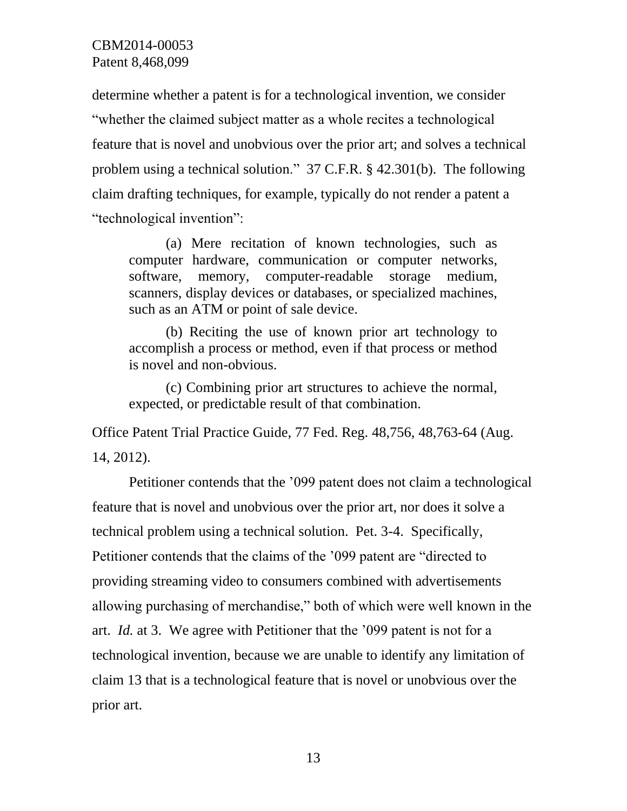determine whether a patent is for a technological invention, we consider "whether the claimed subject matter as a whole recites a technological feature that is novel and unobvious over the prior art; and solves a technical problem using a technical solution." 37 C.F.R. § 42.301(b). The following claim drafting techniques, for example, typically do not render a patent a "technological invention":

(a) Mere recitation of known technologies, such as computer hardware, communication or computer networks, software, memory, computer-readable storage medium, scanners, display devices or databases, or specialized machines, such as an ATM or point of sale device.

(b) Reciting the use of known prior art technology to accomplish a process or method, even if that process or method is novel and non-obvious.

(c) Combining prior art structures to achieve the normal, expected, or predictable result of that combination.

Office Patent Trial Practice Guide, 77 Fed. Reg. 48,756, 48,763-64 (Aug. 14, 2012).

Petitioner contends that the '099 patent does not claim a technological feature that is novel and unobvious over the prior art, nor does it solve a technical problem using a technical solution. Pet. 3-4. Specifically, Petitioner contends that the claims of the '099 patent are "directed to providing streaming video to consumers combined with advertisements allowing purchasing of merchandise," both of which were well known in the art. *Id.* at 3. We agree with Petitioner that the '099 patent is not for a technological invention, because we are unable to identify any limitation of claim 13 that is a technological feature that is novel or unobvious over the prior art.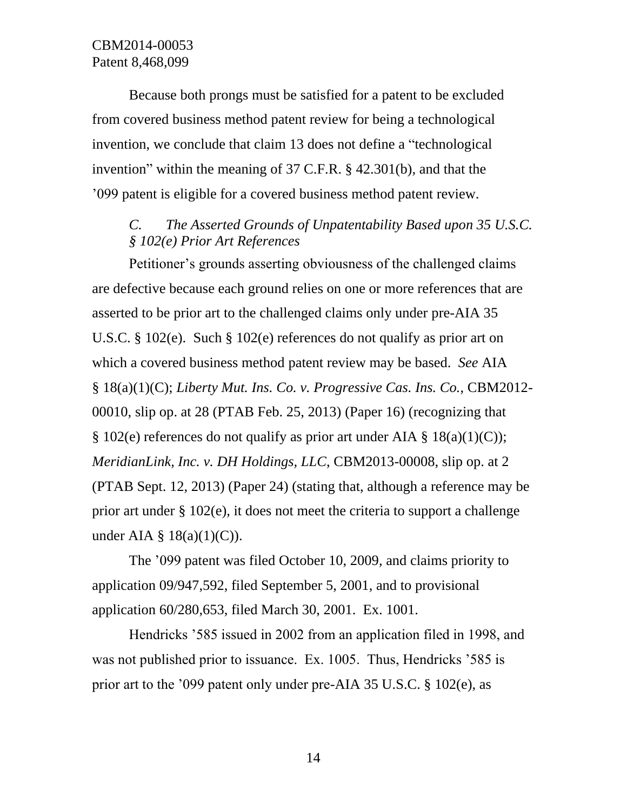Because both prongs must be satisfied for a patent to be excluded from covered business method patent review for being a technological invention, we conclude that claim 13 does not define a "technological invention" within the meaning of 37 C.F.R. § 42.301(b), and that the '099 patent is eligible for a covered business method patent review.

# *C. The Asserted Grounds of Unpatentability Based upon 35 U.S.C. § 102(e) Prior Art References*

Petitioner's grounds asserting obviousness of the challenged claims are defective because each ground relies on one or more references that are asserted to be prior art to the challenged claims only under pre-AIA 35 U.S.C. § 102(e). Such § 102(e) references do not qualify as prior art on which a covered business method patent review may be based. *See* AIA § 18(a)(1)(C); *Liberty Mut. Ins. Co. v. Progressive Cas. Ins. Co.*, CBM2012- 00010, slip op. at 28 (PTAB Feb. 25, 2013) (Paper 16) (recognizing that  $\S 102(e)$  references do not qualify as prior art under AIA  $\S 18(a)(1)(C)$ ; *MeridianLink, Inc. v. DH Holdings, LLC*, CBM2013-00008, slip op. at 2 (PTAB Sept. 12, 2013) (Paper 24) (stating that, although a reference may be prior art under § 102(e), it does not meet the criteria to support a challenge under AIA  $\S$  18(a)(1)(C)).

The '099 patent was filed October 10, 2009, and claims priority to application 09/947,592, filed September 5, 2001, and to provisional application 60/280,653, filed March 30, 2001. Ex. 1001.

Hendricks '585 issued in 2002 from an application filed in 1998, and was not published prior to issuance. Ex. 1005. Thus, Hendricks '585 is prior art to the '099 patent only under pre-AIA 35 U.S.C. § 102(e), as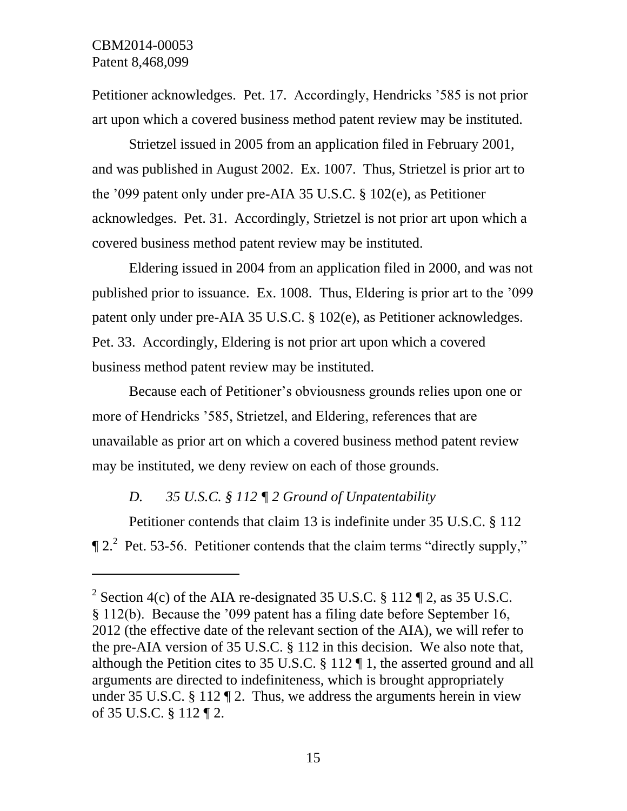l

Petitioner acknowledges. Pet. 17. Accordingly, Hendricks '585 is not prior art upon which a covered business method patent review may be instituted.

Strietzel issued in 2005 from an application filed in February 2001, and was published in August 2002. Ex. 1007. Thus, Strietzel is prior art to the '099 patent only under pre-AIA 35 U.S.C. § 102(e), as Petitioner acknowledges. Pet. 31. Accordingly, Strietzel is not prior art upon which a covered business method patent review may be instituted.

Eldering issued in 2004 from an application filed in 2000, and was not published prior to issuance. Ex. 1008. Thus, Eldering is prior art to the '099 patent only under pre-AIA 35 U.S.C. § 102(e), as Petitioner acknowledges. Pet. 33. Accordingly, Eldering is not prior art upon which a covered business method patent review may be instituted.

Because each of Petitioner's obviousness grounds relies upon one or more of Hendricks '585, Strietzel, and Eldering, references that are unavailable as prior art on which a covered business method patent review may be instituted, we deny review on each of those grounds.

# *D. 35 U.S.C. § 112 ¶ 2 Ground of Unpatentability*

Petitioner contends that claim 13 is indefinite under 35 U.S.C. § 112  $\P$  2.<sup>2</sup> Pet. 53-56. Petitioner contends that the claim terms "directly supply,"

<sup>&</sup>lt;sup>2</sup> Section 4(c) of the AIA re-designated 35 U.S.C. § 112  $\P$  2, as 35 U.S.C. § 112(b). Because the '099 patent has a filing date before September 16, 2012 (the effective date of the relevant section of the AIA), we will refer to the pre-AIA version of 35 U.S.C. § 112 in this decision. We also note that, although the Petition cites to 35 U.S.C. § 112 ¶ 1, the asserted ground and all arguments are directed to indefiniteness, which is brought appropriately under 35 U.S.C. § 112  $\P$  2. Thus, we address the arguments herein in view of 35 U.S.C. § 112 ¶ 2.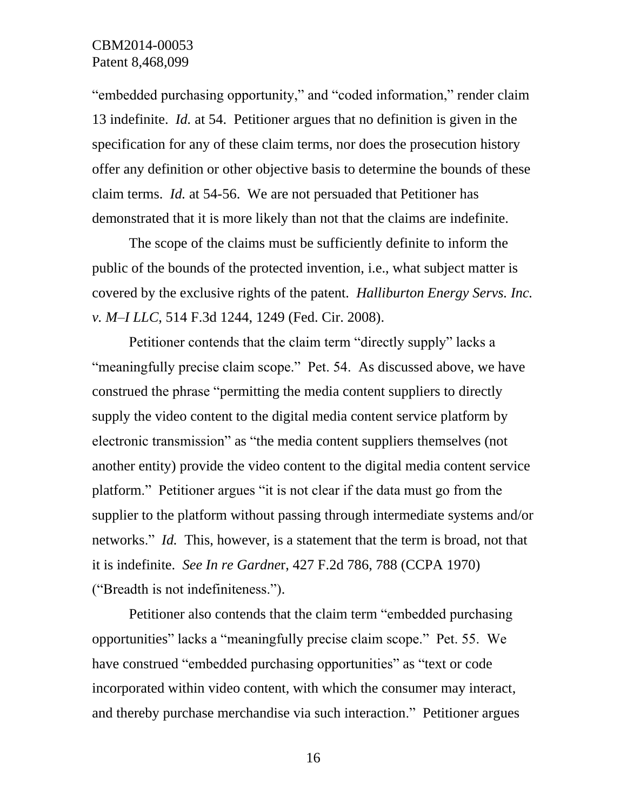"embedded purchasing opportunity," and "coded information," render claim 13 indefinite. *Id.* at 54. Petitioner argues that no definition is given in the specification for any of these claim terms, nor does the prosecution history offer any definition or other objective basis to determine the bounds of these claim terms. *Id.* at 54-56. We are not persuaded that Petitioner has demonstrated that it is more likely than not that the claims are indefinite.

The scope of the claims must be sufficiently definite to inform the public of the bounds of the protected invention, i.e., what subject matter is covered by the exclusive rights of the patent. *Halliburton Energy Servs. Inc. v. M–I LLC*, 514 F.3d 1244, 1249 (Fed. Cir. 2008).

Petitioner contends that the claim term "directly supply" lacks a "meaningfully precise claim scope." Pet. 54. As discussed above, we have construed the phrase "permitting the media content suppliers to directly supply the video content to the digital media content service platform by electronic transmission" as "the media content suppliers themselves (not another entity) provide the video content to the digital media content service platform." Petitioner argues "it is not clear if the data must go from the supplier to the platform without passing through intermediate systems and/or networks." *Id.* This, however, is a statement that the term is broad, not that it is indefinite. *See In re Gardne*r, 427 F.2d 786, 788 (CCPA 1970) ("Breadth is not indefiniteness.").

Petitioner also contends that the claim term "embedded purchasing opportunities" lacks a "meaningfully precise claim scope." Pet. 55. We have construed "embedded purchasing opportunities" as "text or code incorporated within video content, with which the consumer may interact, and thereby purchase merchandise via such interaction." Petitioner argues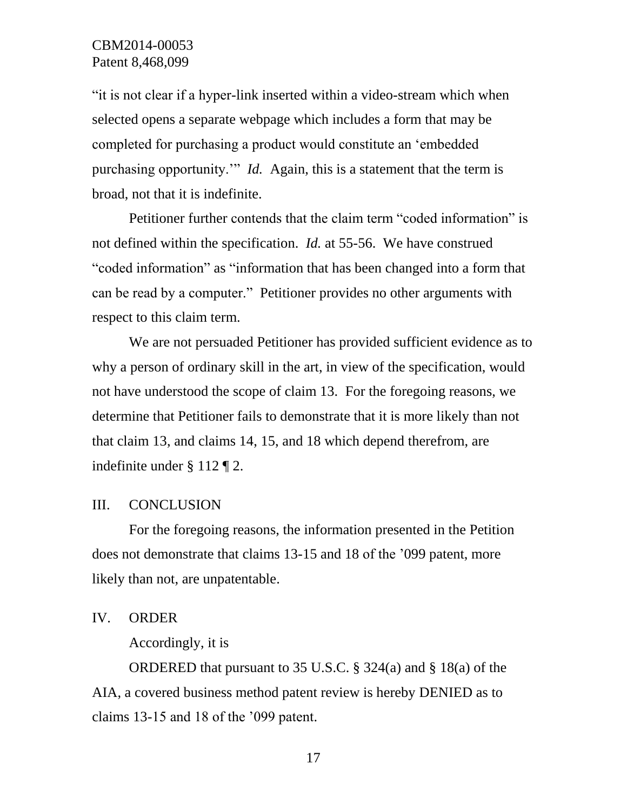"it is not clear if a hyper-link inserted within a video-stream which when selected opens a separate webpage which includes a form that may be completed for purchasing a product would constitute an 'embedded purchasing opportunity.'" *Id.* Again, this is a statement that the term is broad, not that it is indefinite.

Petitioner further contends that the claim term "coded information" is not defined within the specification. *Id.* at 55-56. We have construed "coded information" as "information that has been changed into a form that can be read by a computer." Petitioner provides no other arguments with respect to this claim term.

We are not persuaded Petitioner has provided sufficient evidence as to why a person of ordinary skill in the art, in view of the specification, would not have understood the scope of claim 13. For the foregoing reasons, we determine that Petitioner fails to demonstrate that it is more likely than not that claim 13, and claims 14, 15, and 18 which depend therefrom, are indefinite under § 112 ¶ 2.

#### III. CONCLUSION

For the foregoing reasons, the information presented in the Petition does not demonstrate that claims 13-15 and 18 of the '099 patent, more likely than not, are unpatentable.

#### IV. ORDER

Accordingly, it is

ORDERED that pursuant to 35 U.S.C. § 324(a) and § 18(a) of the AIA, a covered business method patent review is hereby DENIED as to claims 13-15 and 18 of the '099 patent.